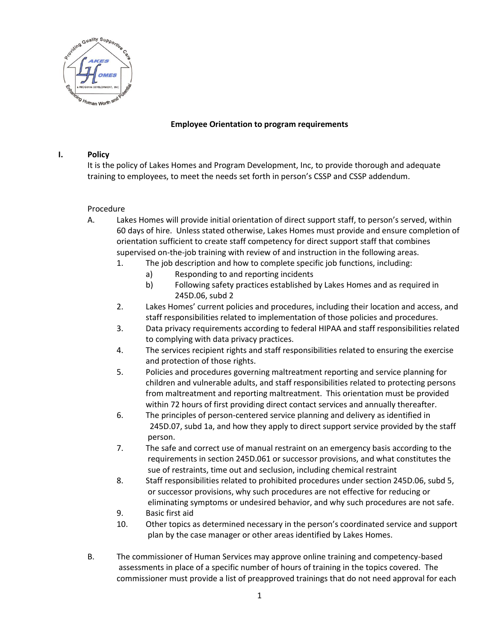

## **Employee Orientation to program requirements**

## **I. Policy**

It is the policy of Lakes Homes and Program Development, Inc, to provide thorough and adequate training to employees, to meet the needs set forth in person's CSSP and CSSP addendum.

## Procedure

- A. Lakes Homes will provide initial orientation of direct support staff, to person's served, within 60 days of hire. Unless stated otherwise, Lakes Homes must provide and ensure completion of orientation sufficient to create staff competency for direct support staff that combines supervised on-the-job training with review of and instruction in the following areas.
	- 1. The job description and how to complete specific job functions, including:
		- a) Responding to and reporting incidents
		- b) Following safety practices established by Lakes Homes and as required in 245D.06, subd 2
	- 2. Lakes Homes' current policies and procedures, including their location and access, and staff responsibilities related to implementation of those policies and procedures.
	- 3. Data privacy requirements according to federal HIPAA and staff responsibilities related to complying with data privacy practices.
	- 4. The services recipient rights and staff responsibilities related to ensuring the exercise and protection of those rights.
	- 5. Policies and procedures governing maltreatment reporting and service planning for children and vulnerable adults, and staff responsibilities related to protecting persons from maltreatment and reporting maltreatment. This orientation must be provided within 72 hours of first providing direct contact services and annually thereafter.
	- 6. The principles of person-centered service planning and delivery as identified in 245D.07, subd 1a, and how they apply to direct support service provided by the staff person.
	- 7. The safe and correct use of manual restraint on an emergency basis according to the requirements in section 245D.061 or successor provisions, and what constitutes the sue of restraints, time out and seclusion, including chemical restraint
	- 8. Staff responsibilities related to prohibited procedures under section 245D.06, subd 5, or successor provisions, why such procedures are not effective for reducing or eliminating symptoms or undesired behavior, and why such procedures are not safe.
	- 9. Basic first aid
	- 10. Other topics as determined necessary in the person's coordinated service and support plan by the case manager or other areas identified by Lakes Homes.
- B. The commissioner of Human Services may approve online training and competency-based assessments in place of a specific number of hours of training in the topics covered. The commissioner must provide a list of preapproved trainings that do not need approval for each